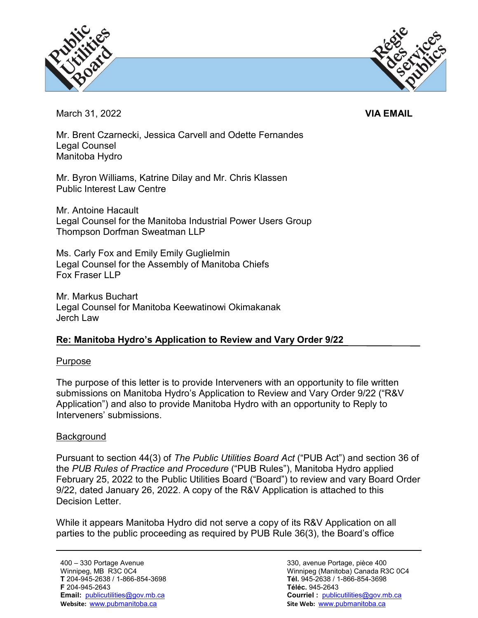



March 31, 2022 **VIA EMAIL**

Mr. Brent Czarnecki, Jessica Carvell and Odette Fernandes Legal Counsel Manitoba Hydro

Mr. Byron Williams, Katrine Dilay and Mr. Chris Klassen Public Interest Law Centre

Mr. Antoine Hacault Legal Counsel for the Manitoba Industrial Power Users Group Thompson Dorfman Sweatman LLP

Ms. Carly Fox and Emily Emily Guglielmin Legal Counsel for the Assembly of Manitoba Chiefs Fox Fraser I I P

Mr. Markus Buchart Legal Counsel for Manitoba Keewatinowi Okimakanak Jerch Law

# **Re: Manitoba Hydro's Application to Review and Vary Order 9/22**

## Purpose

The purpose of this letter is to provide Interveners with an opportunity to file written submissions on Manitoba Hydro's Application to Review and Vary Order 9/22 ("R&V Application") and also to provide Manitoba Hydro with an opportunity to Reply to Interveners' submissions.

## **Background**

Pursuant to section 44(3) of *The Public Utilities Board Act* ("PUB Act") and section 36 of the *PUB Rules of Practice and Procedure* ("PUB Rules"), Manitoba Hydro applied February 25, 2022 to the Public Utilities Board ("Board") to review and vary Board Order 9/22, dated January 26, 2022. A copy of the R&V Application is attached to this Decision Letter.

While it appears Manitoba Hydro did not serve a copy of its R&V Application on all parties to the public proceeding as required by PUB Rule 36(3), the Board's office